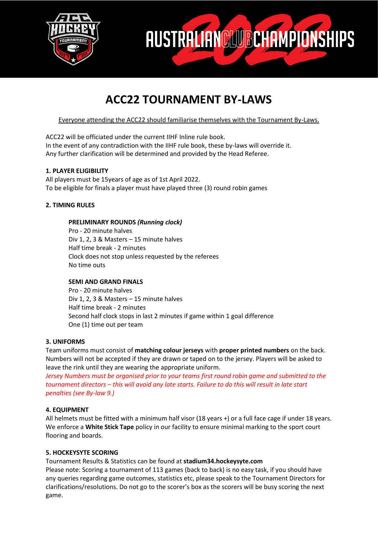



# **ACC22 TOURNAMENT BY-LAWS**

Everyone attending the ACC22 should familiarise themselves with the Tournament By-Laws.

ACC22 will be officiated under the current IIHF Inline rule book. In the event of any contradiction with the IIHF rule book, these by-laws will override it. Any further clarification will be determined and provided by the Head Referee.

# **1. PLAYER ELIGIBILITY**

All players must be 15years of age as of 1st April 2022. To be eligible for finals a player must have played three (3) round robin games

# **2. TIMING RULES**

# **PRELIMINARY ROUNDS** *(Running clock)*

Pro - 20 minute halves Div 1, 2, 3 & Masters – 15 minute halves Half time break - 2 minutes Clock does not stop unless requested by the referees No time outs

# **SEMI AND GRAND FINALS**

Pro - 20 minute halves Div 1, 2, 3 & Masters – 15 minute halves Half time break - 2 minutes Second half clock stops in last 2 minutes if game within 1 goal difference One (1) time out per team

# **3. UNIFORMS**

Team uniforms must consist of **matching colour jerseys** with **proper printed numbers** on the back. Numbers will not be accepted if they are drawn or taped on to the jersey. Players will be asked to leave the rink until they are wearing the appropriate uniform.

*Jersey Numbers must be organised prior to your teams first round robin game and submitted to the tournament directors – this will avoid any late starts. Failure to do this will result in late start penalties (see By-law 9.)*

# **4. EQUIPMENT**

All helmets must be fitted with a minimum half visor (18 years +) or a full face cage if under 18 years. We enforce a **White Stick Tape** policy in our facility to ensure minimal marking to the sport court flooring and boards.

# **5. HOCKEYSYTE SCORING**

Tournament Results & Statistics can be found at **stadium34.hockeysyte.com**

Please note: Scoring a tournament of 113 games (back to back) is no easy task, if you should have any queries regarding game outcomes, statistics etc, please speak to the Tournament Directors for clarifications/resolutions. Do not go to the scorer's box as the scorers will be busy scoring the next game.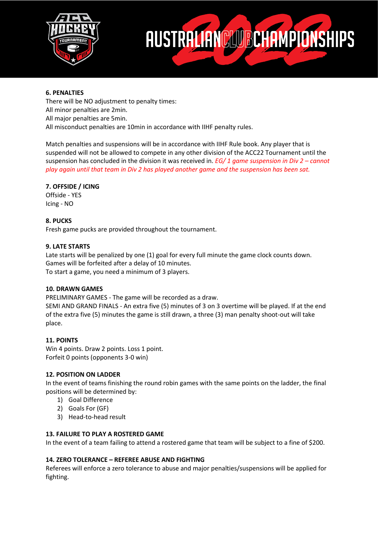



# **6. PENALTIES**

There will be NO adjustment to penalty times: All minor penalties are 2min. All major penalties are 5min. All misconduct penalties are 10min in accordance with IIHF penalty rules.

Match penalties and suspensions will be in accordance with IIHF Rule book. Any player that is suspended will not be allowed to compete in any other division of the ACC22 Tournament until the suspension has concluded in the division it was received in. *EG/ 1 game suspension in Div 2 – cannot play again until that team in Div 2 has played another game and the suspension has been sat.*

# **7. OFFSIDE / ICING**

Offside - YES Icing - NO

# **8. PUCKS**

Fresh game pucks are provided throughout the tournament.

#### **9. LATE STARTS**

Late starts will be penalized by one (1) goal for every full minute the game clock counts down. Games will be forfeited after a delay of 10 minutes. To start a game, you need a minimum of 3 players.

#### **10. DRAWN GAMES**

PRELIMINARY GAMES - The game will be recorded as a draw. SEMI AND GRAND FINALS - An extra five (5) minutes of 3 on 3 overtime will be played. If at the end

of the extra five (5) minutes the game is still drawn, a three (3) man penalty shoot-out will take place.

# **11. POINTS**

Win 4 points. Draw 2 points. Loss 1 point. Forfeit 0 points (opponents 3-0 win)

# **12. POSITION ON LADDER**

In the event of teams finishing the round robin games with the same points on the ladder, the final positions will be determined by:

- 1) Goal Difference
- 2) Goals For (GF)
- 3) Head-to-head result

# **13. FAILURE TO PLAY A ROSTERED GAME**

In the event of a team failing to attend a rostered game that team will be subject to a fine of \$200.

# **14. ZERO TOLERANCE – REFEREE ABUSE AND FIGHTING**

Referees will enforce a zero tolerance to abuse and major penalties/suspensions will be applied for fighting.